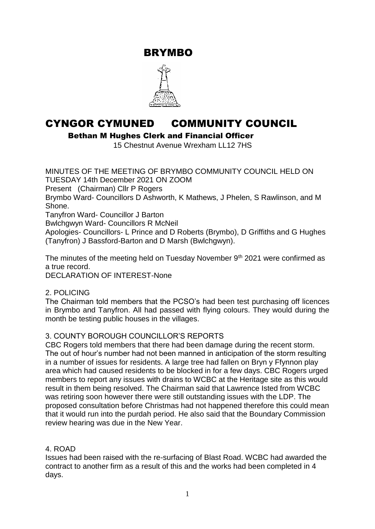BRYMBO



# CYNGOR CYMUNED COMMUNITY COUNCIL

Bethan M Hughes Clerk and Financial Officer

15 Chestnut Avenue Wrexham LL12 7HS

MINUTES OF THE MEETING OF BRYMBO COMMUNITY COUNCIL HELD ON TUESDAY 14th December 2021 ON ZOOM Present (Chairman) Cllr P Rogers Brymbo Ward- Councillors D Ashworth, K Mathews, J Phelen, S Rawlinson, and M Shone. Tanyfron Ward- Councillor J Barton Bwlchgwyn Ward- Councillors R McNeil

Apologies- Councillors- L Prince and D Roberts (Brymbo), D Griffiths and G Hughes (Tanyfron) J Bassford-Barton and D Marsh (Bwlchgwyn).

The minutes of the meeting held on Tuesday November 9<sup>th</sup> 2021 were confirmed as a true record.

DECLARATION OF INTEREST-None

## 2. POLICING

The Chairman told members that the PCSO's had been test purchasing off licences in Brymbo and Tanyfron. All had passed with flying colours. They would during the month be testing public houses in the villages.

# 3. COUNTY BOROUGH COUNCILLOR'S REPORTS

CBC Rogers told members that there had been damage during the recent storm. The out of hour's number had not been manned in anticipation of the storm resulting in a number of issues for residents. A large tree had fallen on Bryn y Ffynnon play area which had caused residents to be blocked in for a few days. CBC Rogers urged members to report any issues with drains to WCBC at the Heritage site as this would result in them being resolved. The Chairman said that Lawrence Isted from WCBC was retiring soon however there were still outstanding issues with the LDP. The proposed consultation before Christmas had not happened therefore this could mean that it would run into the purdah period. He also said that the Boundary Commission review hearing was due in the New Year.

## 4. ROAD

Issues had been raised with the re-surfacing of Blast Road. WCBC had awarded the contract to another firm as a result of this and the works had been completed in 4 days.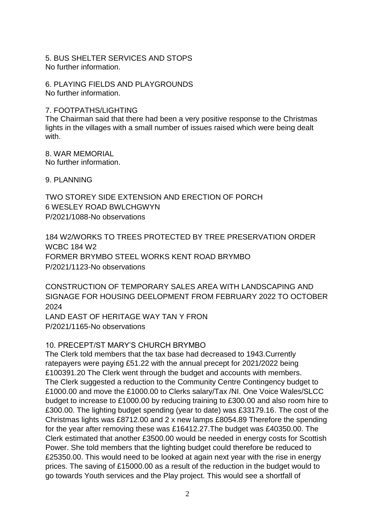5. BUS SHELTER SERVICES AND STOPS No further information.

6. PLAYING FIELDS AND PLAYGROUNDS No further information.

# 7. FOOTPATHS/LIGHTING

The Chairman said that there had been a very positive response to the Christmas lights in the villages with a small number of issues raised which were being dealt with.

8. WAR MEMORIAL No further information.

9. PLANNING

TWO STOREY SIDE EXTENSION AND ERECTION OF PORCH 6 WESLEY ROAD BWLCHGWYN P/2021/1088-No observations

184 W2/WORKS TO TREES PROTECTED BY TREE PRESERVATION ORDER WCBC 184 W2 FORMER BRYMBO STEEL WORKS KENT ROAD BRYMBO P/2021/1123-No observations

CONSTRUCTION OF TEMPORARY SALES AREA WITH LANDSCAPING AND SIGNAGE FOR HOUSING DEELOPMENT FROM FEBRUARY 2022 TO OCTOBER 2024

LAND EAST OF HERITAGE WAY TAN Y FRON P/2021/1165-No observations

# 10. PRECEPT/ST MARY'S CHURCH BRYMBO

The Clerk told members that the tax base had decreased to 1943.Currently ratepayers were paying £51.22 with the annual precept for 2021/2022 being £100391.20 The Clerk went through the budget and accounts with members. The Clerk suggested a reduction to the Community Centre Contingency budget to £1000.00 and move the £1000.00 to Clerks salary/Tax /NI. One Voice Wales/SLCC budget to increase to £1000.00 by reducing training to £300.00 and also room hire to £300.00. The lighting budget spending (year to date) was £33179.16. The cost of the Christmas lights was £8712.00 and 2 x new lamps £8054.89 Therefore the spending for the year after removing these was £16412.27.The budget was £40350.00. The Clerk estimated that another £3500.00 would be needed in energy costs for Scottish Power. She told members that the lighting budget could therefore be reduced to £25350.00. This would need to be looked at again next year with the rise in energy prices. The saving of £15000.00 as a result of the reduction in the budget would to go towards Youth services and the Play project. This would see a shortfall of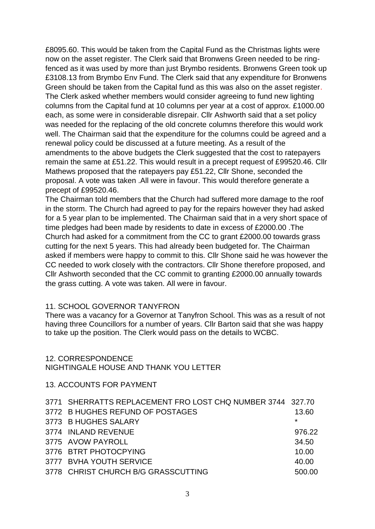£8095.60. This would be taken from the Capital Fund as the Christmas lights were now on the asset register. The Clerk said that Bronwens Green needed to be ringfenced as it was used by more than just Brymbo residents. Bronwens Green took up £3108.13 from Brymbo Env Fund. The Clerk said that any expenditure for Bronwens Green should be taken from the Capital fund as this was also on the asset register. The Clerk asked whether members would consider agreeing to fund new lighting columns from the Capital fund at 10 columns per year at a cost of approx. £1000.00 each, as some were in considerable disrepair. Cllr Ashworth said that a set policy was needed for the replacing of the old concrete columns therefore this would work well. The Chairman said that the expenditure for the columns could be agreed and a renewal policy could be discussed at a future meeting. As a result of the amendments to the above budgets the Clerk suggested that the cost to ratepayers remain the same at £51.22. This would result in a precept request of £99520.46. Cllr Mathews proposed that the ratepayers pay £51.22, Cllr Shone, seconded the proposal. A vote was taken .All were in favour. This would therefore generate a precept of £99520.46.

The Chairman told members that the Church had suffered more damage to the roof in the storm. The Church had agreed to pay for the repairs however they had asked for a 5 year plan to be implemented. The Chairman said that in a very short space of time pledges had been made by residents to date in excess of £2000.00 .The Church had asked for a commitment from the CC to grant £2000.00 towards grass cutting for the next 5 years. This had already been budgeted for. The Chairman asked if members were happy to commit to this. Cllr Shone said he was however the CC needed to work closely with the contractors. Cllr Shone therefore proposed, and Cllr Ashworth seconded that the CC commit to granting £2000.00 annually towards the grass cutting. A vote was taken. All were in favour.

### 11. SCHOOL GOVERNOR TANYFRON

There was a vacancy for a Governor at Tanyfron School. This was as a result of not having three Councillors for a number of years. Cllr Barton said that she was happy to take up the position. The Clerk would pass on the details to WCBC.

### 12. CORRESPONDENCE

## NIGHTINGALE HOUSE AND THANK YOU LETTER

### 13. ACCOUNTS FOR PAYMENT

| 3771 SHERRATTS REPLACEMENT FRO LOST CHQ NUMBER 3744 327.70 |         |
|------------------------------------------------------------|---------|
| 3772 B HUGHES REFUND OF POSTAGES                           | 13.60   |
| 3773 B HUGHES SALARY                                       | $\star$ |
| 3774 INLAND REVENUE                                        | 976.22  |
| 3775 AVOW PAYROLL                                          | 34.50   |
| 3776 BTRT PHOTOCPYING                                      | 10.00   |
| 3777 BVHA YOUTH SERVICE                                    | 40.00   |
| 3778 CHRIST CHURCH B/G GRASSCUTTING                        | 500.00  |